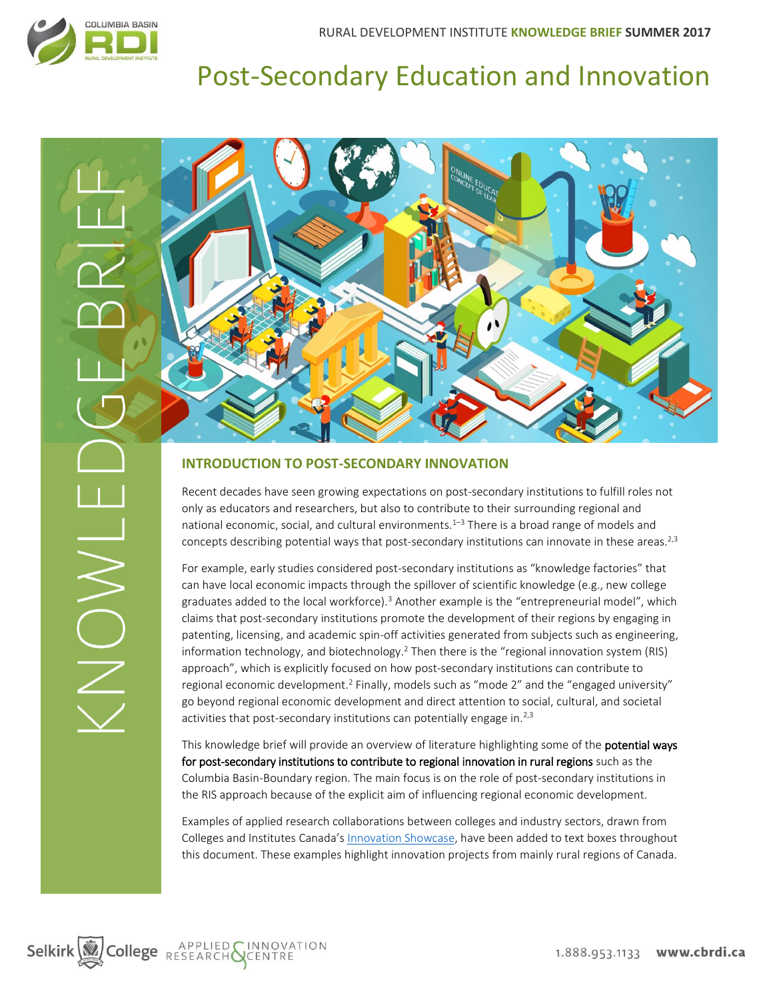HUNDN

# Post-Secondary Education and Innovation



#### **INTRODUCTION TO POST-SECONDARY INNOVATION**

Recent decades have seen growing expectations on post-secondary institutions to fulfill roles not only as educators and researchers, but also to contribute to their surrounding regional and national economic, social, and cultural environments.<sup>1-3</sup> There is a broad range of models and concepts describing potential ways that post-secondary institutions can innovate in these areas.<sup>2,3</sup>

For example, early studies considered post-secondary institutions as "knowledge factories" that can have local economic impacts through the spillover of scientific knowledge (e.g., new college graduates added to the local workforce).<sup>3</sup> Another example is the "entrepreneurial model", which claims that post-secondary institutions promote the development of their regions by engaging in patenting, licensing, and academic spin-off activities generated from subjects such as engineering, information technology, and biotechnology.<sup>2</sup> Then there is the "regional innovation system (RIS) approach", which is explicitly focused on how post-secondary institutions can contribute to regional economic development.<sup>2</sup> Finally, models such as "mode 2" and the "engaged university" go beyond regional economic development and direct attention to social, cultural, and societal activities that post-secondary institutions can potentially engage in.<sup>2,3</sup>

This knowledge brief will provide an overview of literature highlighting some of the **potential ways** for post-secondary institutions to contribute to regional innovation in rural regions such as the Columbia Basin-Boundary region. The main focus is on the role of post-secondary institutions in the RIS approach because of the explicit aim of influencing regional economic development.

Examples of applied research collaborations between colleges and industry sectors, drawn from Colleges and Institutes Canada's [Innovation Showcase,](https://www.collegesinstitutes.ca/our-members/applied-research/) have been added to text boxes throughout this document. These examples highlight innovation projects from mainly rural regions of Canada.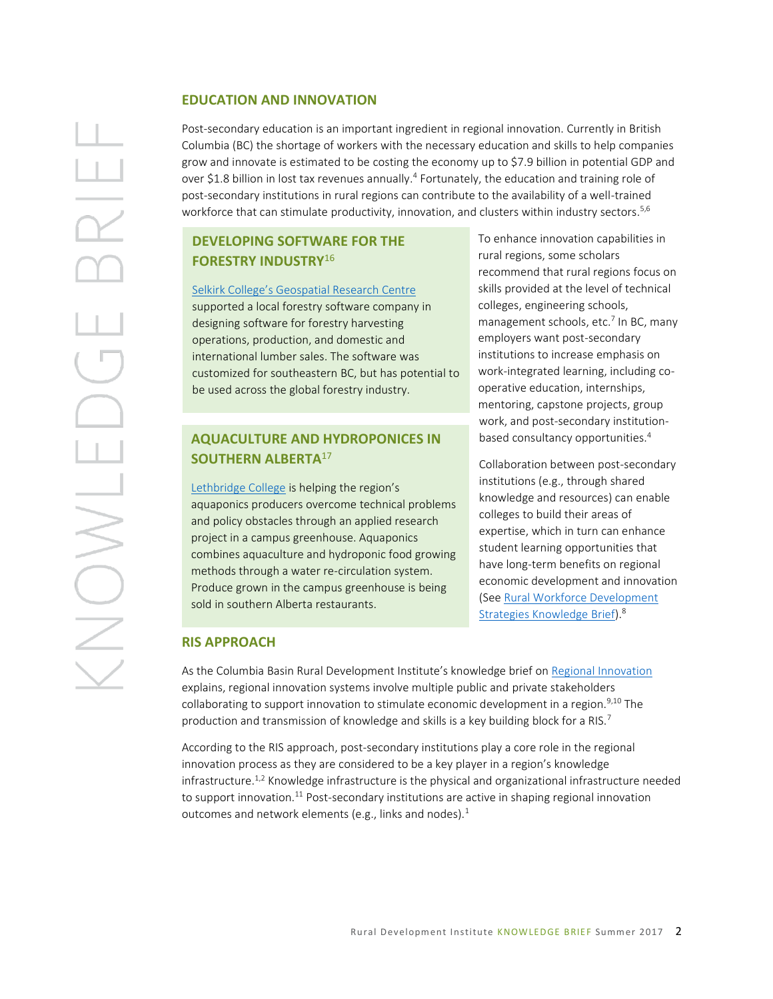#### **EDUCATION AND INNOVATION**

Post-secondary education is an important ingredient in regional innovation. Currently in British Columbia (BC) the shortage of workers with the necessary education and skills to help companies grow and innovate is estimated to be costing the economy up to \$7.9 billion in potential GDP and over \$1.8 billion in lost tax revenues annually.<sup>4</sup> Fortunately, the education and training role of post-secondary institutions in rural regions can contribute to the availability of a well-trained workforce that can stimulate productivity, innovation, and clusters within industry sectors. 5,6

## **DEVELOPING SOFTWARE FOR THE FORESTRY INDUSTRY**<sup>16</sup>

[Selkirk College's Geospatial Research Centre](http://www.sgrc.selkirk.ca/) supported a local forestry software company in designing software for forestry harvesting operations, production, and domestic and international lumber sales. The software was customized for southeastern BC, but has potential to be used across the global forestry industry.

## **AQUACULTURE AND HYDROPONICES IN SOUTHERN ALBERTA**<sup>17</sup>

[Lethbridge College](https://www.collegesinstitutes.ca/applied-research/raising-fish-to-grow-good-gardens/) is helping the region's aquaponics producers overcome technical problems and policy obstacles through an applied research project in a campus greenhouse. Aquaponics combines aquaculture and hydroponic food growing methods through a water re-circulation system. Produce grown in the campus greenhouse is being sold in southern Alberta restaurants.

To enhance innovation capabilities in rural regions, some scholars recommend that rural regions focus on skills provided at the level of technical colleges, engineering schools, management schools, etc.<sup>7</sup> In BC, many employers want post-secondary institutions to increase emphasis on work-integrated learning, including cooperative education, internships, mentoring, capstone projects, group work, and post-secondary institutionbased consultancy opportunities.<sup>4</sup>

Collaboration between post-secondary institutions (e.g., through shared knowledge and resources) can enable colleges to build their areas of expertise, which in turn can enhance student learning opportunities that have long-term benefits on regional economic development and innovation (Se[e Rural Workforce Development](http://datacat.cbrdi.ca/sites/default/files/attachments/RuralWorkforceDevelopmentKnowledgeBriefSpring2017_0.pdf)  [Strategies Knowledge Brief\)](http://datacat.cbrdi.ca/sites/default/files/attachments/RuralWorkforceDevelopmentKnowledgeBriefSpring2017_0.pdf).<sup>8</sup>

# **RIS APPROACH**

As the Columbia Basin Rural Development Institute's knowledge brief on [Regional Innovation](http://datacat.cbrdi.ca/sites/default/files/attachments/Regional%20Innovation%20Knowledge%20Brief-210717.pdf) explains, regional innovation systems involve multiple public and private stakeholders collaborating to support innovation to stimulate economic development in a region.<sup>9,10</sup> The production and transmission of knowledge and skills is a key building block for a RIS.<sup>7</sup>

According to the RIS approach, post-secondary institutions play a core role in the regional innovation process as they are considered to be a key player in a region's knowledge infrastructure.<sup>1,2</sup> Knowledge infrastructure is the physical and organizational infrastructure needed to support innovation.<sup>11</sup> Post-secondary institutions are active in shaping regional innovation outcomes and network elements (e.g., links and nodes).<sup>1</sup>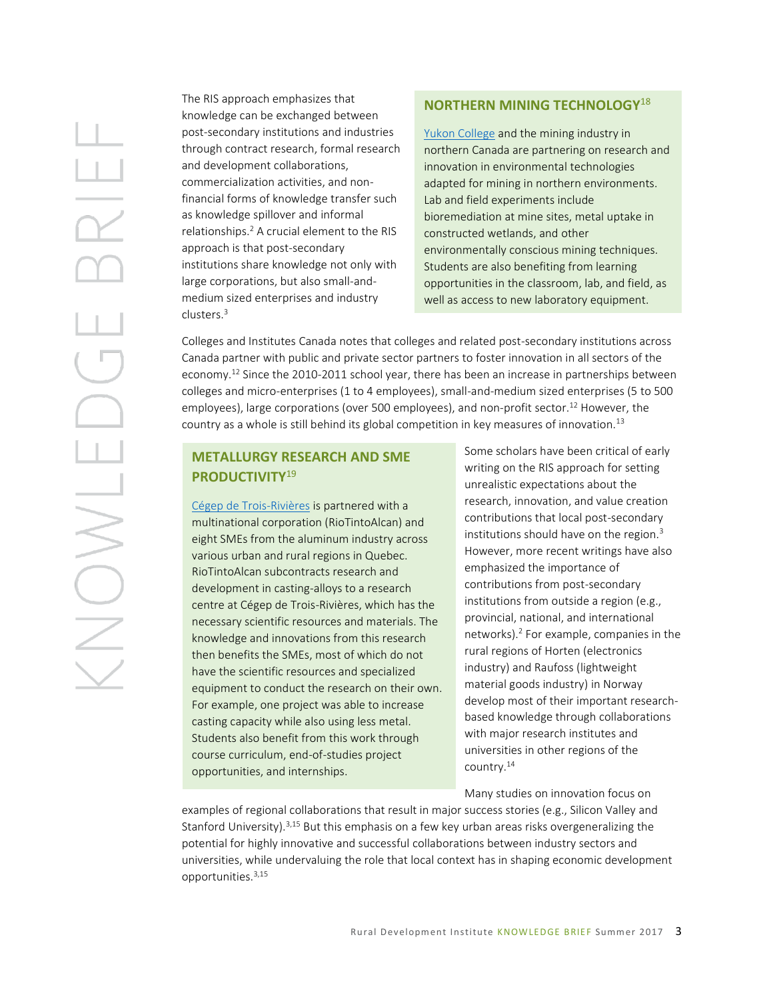The RIS approach emphasizes that knowledge can be exchanged between post-secondary institutions and industries through contract research, formal research and development collaborations, commercialization activities, and nonfinancial forms of knowledge transfer such as knowledge spillover and informal relationships.<sup>2</sup> A crucial element to the RIS approach is that post-secondary institutions share knowledge not only with large corporations, but also small-andmedium sized enterprises and industry clusters.<sup>3</sup>

## **NORTHERN MINING TECHNOLOGY**<sup>18</sup>

[Yukon College](https://www.collegesinstitutes.ca/applied-research/dr-amelie-janin-industrial-research-chair-for-colleges-in-mine-life-cycle/) and the mining industry in northern Canada are partnering on research and innovation in environmental technologies adapted for mining in northern environments. Lab and field experiments include bioremediation at mine sites, metal uptake in constructed wetlands, and other environmentally conscious mining techniques. Students are also benefiting from learning opportunities in the classroom, lab, and field, as well as access to new laboratory equipment.

Colleges and Institutes Canada notes that colleges and related post-secondary institutions across Canada partner with public and private sector partners to foster innovation in all sectors of the economy.<sup>12</sup> Since the 2010-2011 school year, there has been an increase in partnerships between colleges and micro-enterprises (1 to 4 employees), small-and-medium sized enterprises (5 to 500 employees), large corporations (over 500 employees), and non-profit sector.<sup>12</sup> However, the country as a whole is still behind its global competition in key measures of innovation.<sup>13</sup>

# **METALLURGY RESEARCH AND SME PRODUCTIVITY**<sup>19</sup>

[Cégep de Trois-Rivières](http://www.cegeptr.qc.ca/centre-metallurgie-quebec-affilie-cegep-de-trois-rivieres-obtient-chaire-recherche-aluminium/) is partnered with a multinational corporation (RioTintoAlcan) and eight SMEs from the aluminum industry across various urban and rural regions in Quebec. RioTintoAlcan subcontracts research and development in casting-alloys to a research centre at Cégep de Trois-Rivières, which has the necessary scientific resources and materials. The knowledge and innovations from this research then benefits the SMEs, most of which do not have the scientific resources and specialized equipment to conduct the research on their own. For example, one project was able to increase casting capacity while also using less metal. Students also benefit from this work through course curriculum, end-of-studies project opportunities, and internships.

Some scholars have been critical of early writing on the RIS approach for setting unrealistic expectations about the research, innovation, and value creation contributions that local post-secondary institutions should have on the region.<sup>3</sup> However, more recent writings have also emphasized the importance of contributions from post-secondary institutions from outside a region (e.g., provincial, national, and international networks).<sup>2</sup> For example, companies in the rural regions of Horten (electronics industry) and Raufoss (lightweight material goods industry) in Norway develop most of their important researchbased knowledge through collaborations with major research institutes and universities in other regions of the country.<sup>14</sup>

Many studies on innovation focus on

examples of regional collaborations that result in major success stories (e.g., Silicon Valley and Stanford University).3,15 But this emphasis on a few key urban areas risks overgeneralizing the potential for highly innovative and successful collaborations between industry sectors and universities, while undervaluing the role that local context has in shaping economic development opportunities.3,15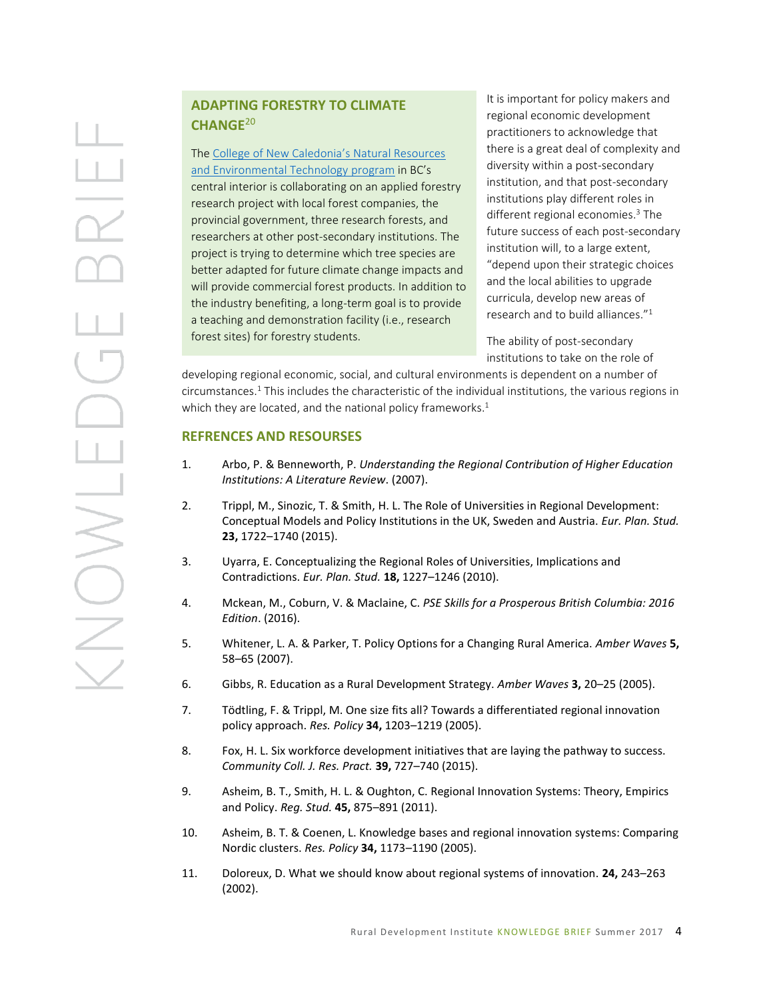# **ADAPTING FORESTRY TO CLIMATE CHANGE**<sup>20</sup>

The [College of New Caledonia's](https://www.collegesinstitutes.ca/applied-research/tackling-the-effects-of-climate-change-on-b-c-forests/) Natural Resources [and Environmental Technology program](https://www.collegesinstitutes.ca/applied-research/tackling-the-effects-of-climate-change-on-b-c-forests/) in BC's central interior is collaborating on an applied forestry research project with local forest companies, the provincial government, three research forests, and researchers at other post-secondary institutions. The project is trying to determine which tree species are better adapted for future climate change impacts and will provide commercial forest products. In addition to the industry benefiting, a long-term goal is to provide a teaching and demonstration facility (i.e., research forest sites) for forestry students.

It is important for policy makers and regional economic development practitioners to acknowledge that there is a great deal of complexity and diversity within a post-secondary institution, and that post-secondary institutions play different roles in different regional economies. <sup>3</sup> The future success of each post-secondary institution will, to a large extent, "depend upon their strategic choices and the local abilities to upgrade curricula, develop new areas of research and to build alliances."<sup>1</sup>

The ability of post-secondary institutions to take on the role of

developing regional economic, social, and cultural environments is dependent on a number of circumstances.<sup>1</sup> This includes the characteristic of the individual institutions, the various regions in which they are located, and the national policy frameworks.<sup>1</sup>

#### **REFRENCES AND RESOURSES**

- 1. Arbo, P. & Benneworth, P. *Understanding the Regional Contribution of Higher Education Institutions: A Literature Review*. (2007).
- 2. Trippl, M., Sinozic, T. & Smith, H. L. The Role of Universities in Regional Development: Conceptual Models and Policy Institutions in the UK, Sweden and Austria. *Eur. Plan. Stud.* **23,** 1722–1740 (2015).
- 3. Uyarra, E. Conceptualizing the Regional Roles of Universities, Implications and Contradictions. *Eur. Plan. Stud.* **18,** 1227–1246 (2010).
- 4. Mckean, M., Coburn, V. & Maclaine, C. *PSE Skills for a Prosperous British Columbia: 2016 Edition*. (2016).
- 5. Whitener, L. A. & Parker, T. Policy Options for a Changing Rural America. *Amber Waves* **5,** 58–65 (2007).
- 6. Gibbs, R. Education as a Rural Development Strategy. *Amber Waves* **3,** 20–25 (2005).
- 7. Tödtling, F. & Trippl, M. One size fits all? Towards a differentiated regional innovation policy approach. *Res. Policy* **34,** 1203–1219 (2005).
- 8. Fox, H. L. Six workforce development initiatives that are laying the pathway to success. *Community Coll. J. Res. Pract.* **39,** 727–740 (2015).
- 9. Asheim, B. T., Smith, H. L. & Oughton, C. Regional Innovation Systems: Theory, Empirics and Policy. *Reg. Stud.* **45,** 875–891 (2011).
- 10. Asheim, B. T. & Coenen, L. Knowledge bases and regional innovation systems: Comparing Nordic clusters. *Res. Policy* **34,** 1173–1190 (2005).
- 11. Doloreux, D. What we should know about regional systems of innovation. **24,** 243–263 (2002).